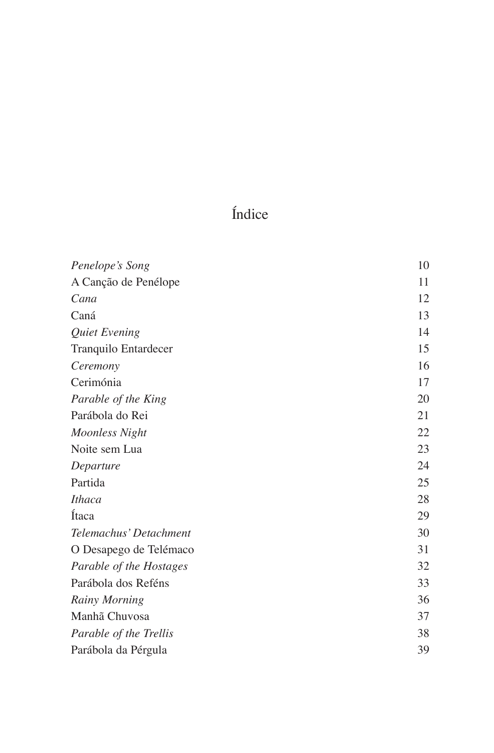# Índice

| Penelope's Song         | 10 |
|-------------------------|----|
| A Canção de Penélope    | 11 |
| Cana                    | 12 |
| Caná                    | 13 |
| Quiet Evening           | 14 |
| Tranquilo Entardecer    | 15 |
| Ceremony                | 16 |
| Cerimónia               | 17 |
| Parable of the King     | 20 |
| Parábola do Rei         | 21 |
| <b>Moonless Night</b>   | 22 |
| Noite sem Lua           | 23 |
| Departure               | 24 |
| Partida                 | 25 |
| <b>Ithaca</b>           | 28 |
| Ítaca                   | 29 |
| Telemachus' Detachment  | 30 |
| O Desapego de Telémaco  | 31 |
| Parable of the Hostages | 32 |
| Parábola dos Reféns     | 33 |
| Rainy Morning           | 36 |
| Manhã Chuvosa           | 37 |
| Parable of the Trellis  | 38 |
| Parábola da Pérgula     | 39 |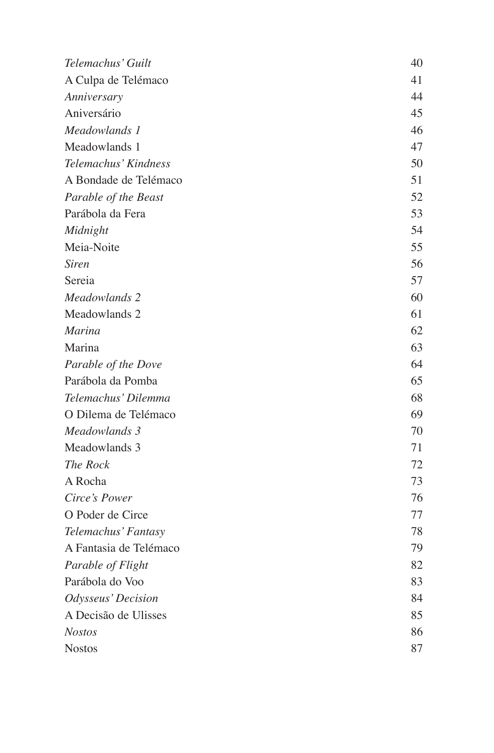| Telemachus' Guilt      | 40 |
|------------------------|----|
| A Culpa de Telémaco    | 41 |
| Anniversary            | 44 |
| Aniversário            | 45 |
| Meadowlands 1          | 46 |
| Meadowlands 1          | 47 |
| Telemachus' Kindness   | 50 |
| A Bondade de Telémaco  | 51 |
| Parable of the Beast   | 52 |
| Parábola da Fera       | 53 |
| Midnight               | 54 |
| Meia-Noite             | 55 |
| <b>Siren</b>           | 56 |
| Sereia                 | 57 |
| Meadowlands 2          | 60 |
| Meadowlands 2          | 61 |
| Marina                 | 62 |
| Marina                 | 63 |
| Parable of the Dove    | 64 |
| Parábola da Pomba      | 65 |
| Telemachus' Dilemma    | 68 |
| O Dilema de Telémaco   | 69 |
| Meadowlands 3          | 70 |
| Meadowlands 3          | 71 |
| The Rock               | 72 |
| A Rocha                | 73 |
| Circe's Power          | 76 |
| O Poder de Circe       | 77 |
| Telemachus' Fantasy    | 78 |
| A Fantasia de Telémaco | 79 |
| Parable of Flight      | 82 |
| Parábola do Voo        | 83 |
| Odysseus' Decision     | 84 |
| A Decisão de Ulisses   | 85 |
| <b>Nostos</b>          | 86 |
| <b>Nostos</b>          | 87 |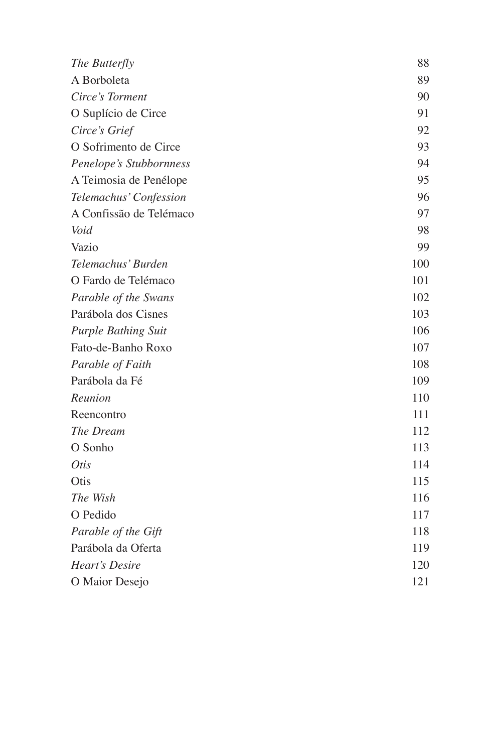| The Butterfly              | 88  |
|----------------------------|-----|
| A Borboleta                | 89  |
| Circe's Torment            | 90  |
| O Suplício de Circe        | 91  |
| Circe's Grief              | 92  |
| O Sofrimento de Circe      | 93  |
| Penelope's Stubbornness    | 94  |
| A Teimosia de Penélope     | 95  |
| Telemachus' Confession     | 96  |
| A Confissão de Telémaco    | 97  |
| Void                       | 98  |
| Vazio                      | 99  |
| Telemachus' Burden         | 100 |
| O Fardo de Telémaco        | 101 |
| Parable of the Swans       | 102 |
| Parábola dos Cisnes        | 103 |
| <b>Purple Bathing Suit</b> | 106 |
| Fato-de-Banho Roxo         | 107 |
| Parable of Faith           | 108 |
| Parábola da Fé             | 109 |
| Reunion                    | 110 |
| Reencontro                 | 111 |
| The Dream                  | 112 |
| O Sonho                    | 113 |
| <i>Otis</i>                | 114 |
| Otis                       | 115 |
| The Wish                   | 116 |
| O Pedido                   | 117 |
| Parable of the Gift        | 118 |
| Parábola da Oferta         | 119 |
| Heart's Desire             | 120 |
| O Maior Desejo             | 121 |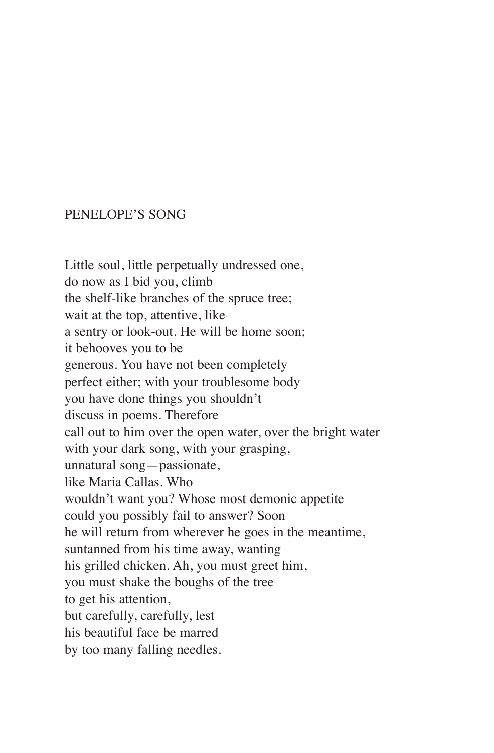#### PENELOPE'S SONG

Little soul, little perpetually undressed one, do now as I bid you, climb the shelf-like branches of the spruce tree; wait at the top, attentive, like a sentry or look‑out. He will be home soon; it behooves you to be generous. You have not been completely perfect either; with your troublesome body you have done things you shouldn't discuss in poems. Therefore call out to him over the open water, over the bright water with your dark song, with your grasping, unnatural song—passionate, like Maria Callas. Who wouldn't want you? Whose most demonic appetite could you possibly fail to answer? Soon he will return from wherever he goes in the meantime, suntanned from his time away, wanting his grilled chicken. Ah, you must greet him, you must shake the boughs of the tree to get his attention, but carefully, carefully, lest his beautiful face be marred by too many falling needles.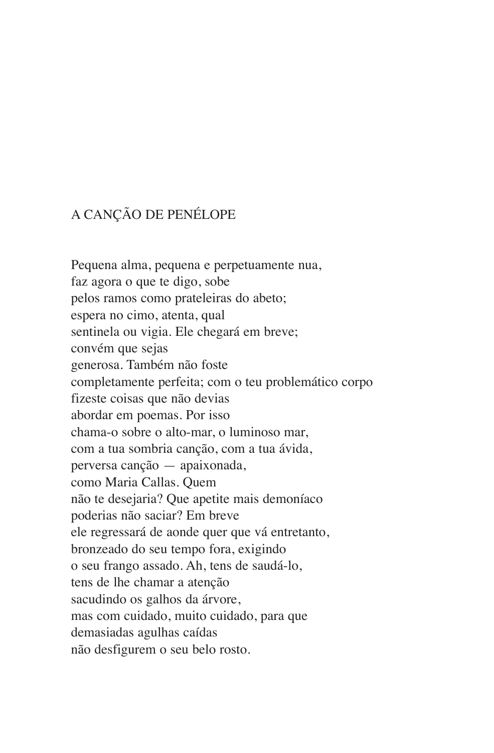# A CANÇÃO DE PENÉLOPE

Pequena alma, pequena e perpetuamente nua, faz agora o que te digo, sobe pelos ramos como prateleiras do abeto; espera no cimo, atenta, qual sentinela ou vigia. Ele chegará em breve; convém que sejas generosa. Também não foste completamente perfeita; com o teu problemático corpo fizeste coisas que não devias abordar em poemas. Por isso chama‑o sobre o alto‑mar, o luminoso mar, com a tua sombria canção, com a tua ávida, perversa canção — apaixonada, como Maria Callas. Quem não te desejaria? Que apetite mais demoníaco poderias não saciar? Em breve ele regressará de aonde quer que vá entretanto, bronzeado do seu tempo fora, exigindo o seu frango assado. Ah, tens de saudá‑lo, tens de lhe chamar a atenção sacudindo os galhos da árvore, mas com cuidado, muito cuidado, para que demasiadas agulhas caídas não desfigurem o seu belo rosto.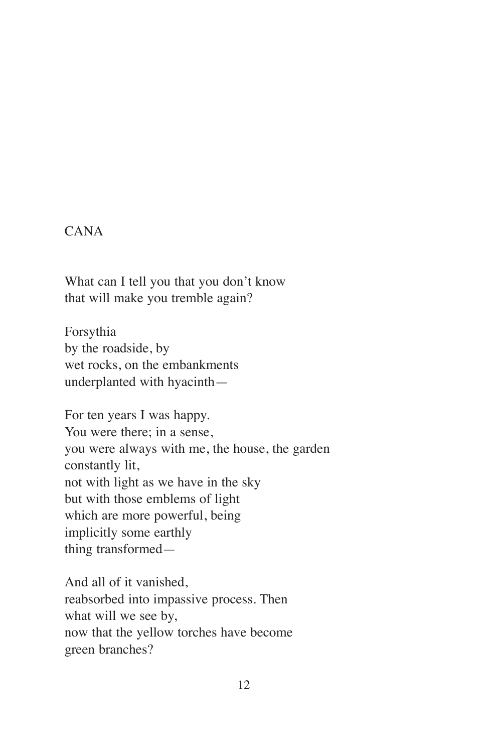#### CANA

What can I tell you that you don't know that will make you tremble again?

Forsythia by the roadside, by wet rocks, on the embankments underplanted with hyacinth—

For ten years I was happy. You were there; in a sense, you were always with me, the house, the garden constantly lit, not with light as we have in the sky but with those emblems of light which are more powerful, being implicitly some earthly thing transformed—

And all of it vanished, reabsorbed into impassive process. Then what will we see by, now that the yellow torches have become green branches?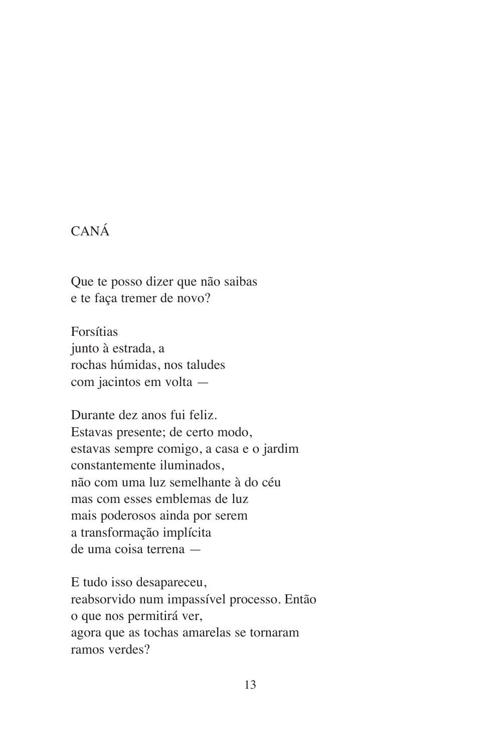# CANÁ

Que te posso dizer que não saibas e te faça tremer de novo?

Forsítias junto à estrada, a rochas húmidas, nos taludes com jacintos em volta —

Durante dez anos fui feliz. Estavas presente; de certo modo, estavas sempre comigo, a casa e o jardim constantemente iluminados, não com uma luz semelhante à do céu mas com esses emblemas de luz mais poderosos ainda por serem a transformação implícita de uma coisa terrena —

E tudo isso desapareceu, reabsorvido num impassível processo. Então o que nos permitirá ver, agora que as tochas amarelas se tornaram ramos verdes?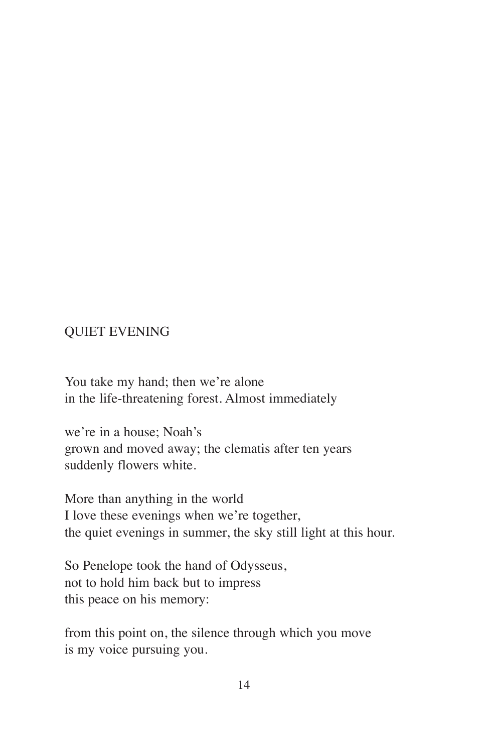### QUIET EVENING

You take my hand; then we're alone in the life-threatening forest. Almost immediately

we're in a house; Noah's grown and moved away; the clematis after ten years suddenly flowers white.

More than anything in the world I love these evenings when we're together, the quiet evenings in summer, the sky still light at this hour.

So Penelope took the hand of Odysseus, not to hold him back but to impress this peace on his memory:

from this point on, the silence through which you move is my voice pursuing you.